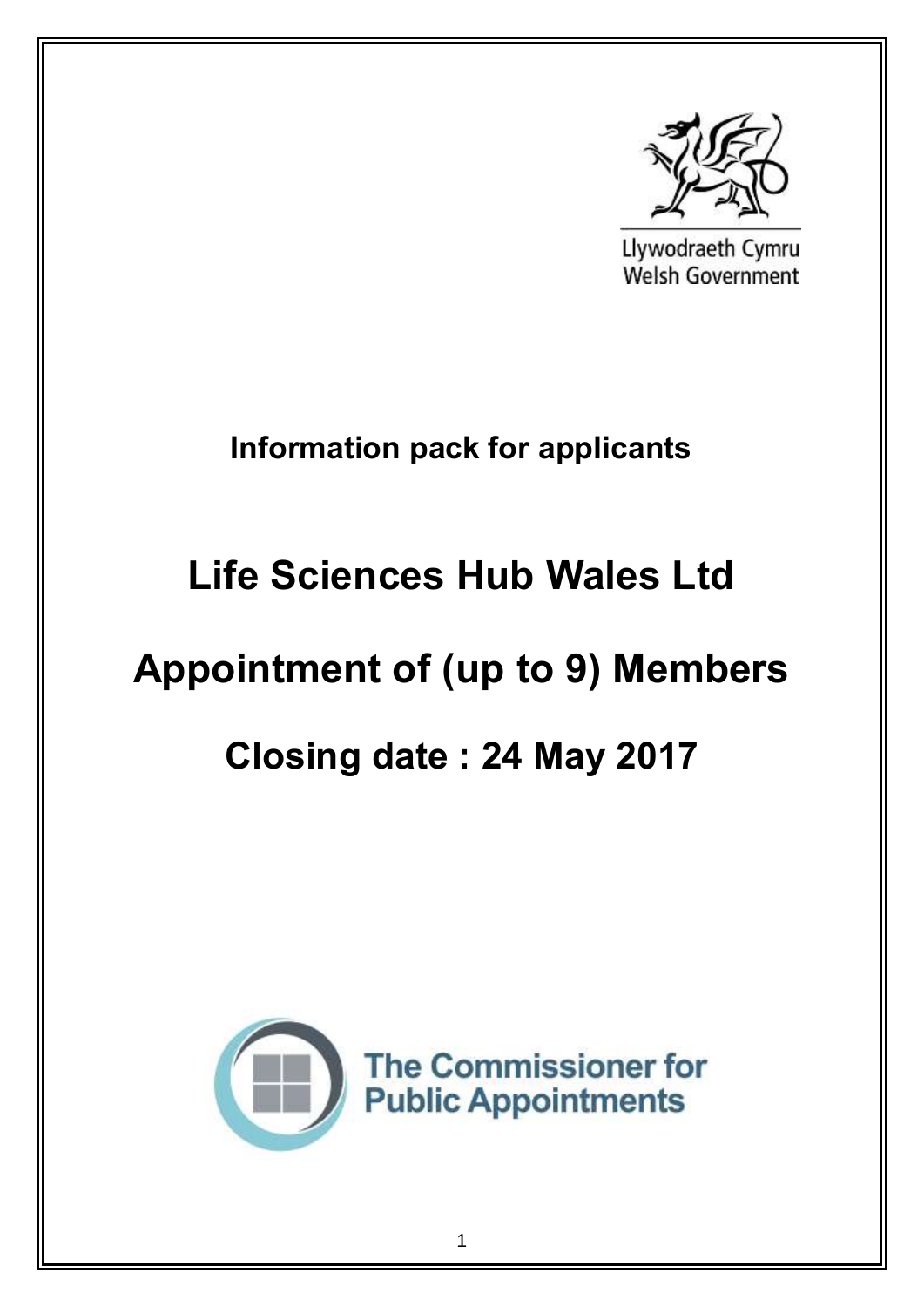

Llywodraeth Cymru Welsh Government

# **Information pack for applicants**

# **Life Sciences Hub Wales Ltd**

# **Appointment of (up to 9) Members**

# **Closing date : 24 May 2017**

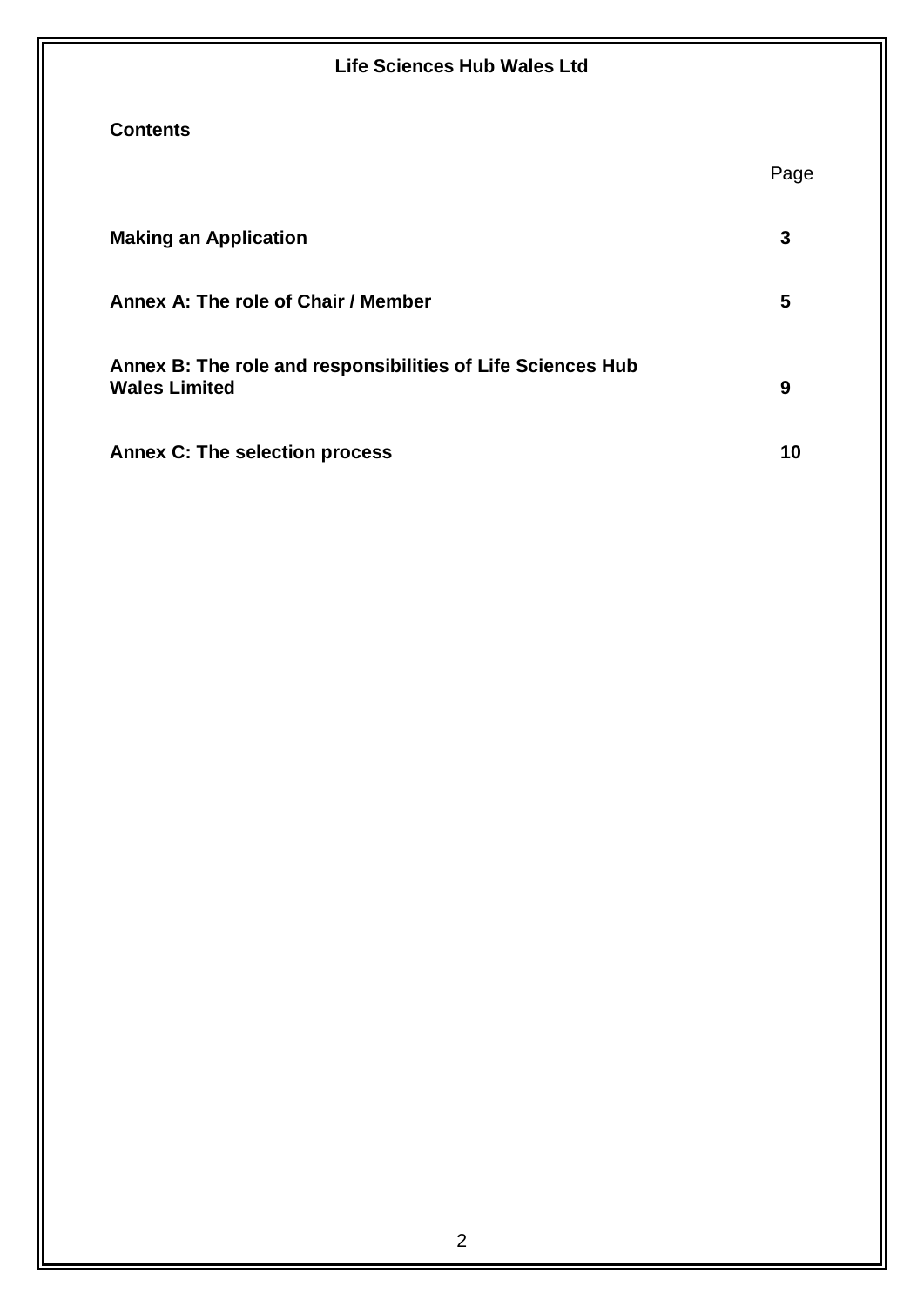| <b>Life Sciences Hub Wales Ltd</b>                                                  |      |
|-------------------------------------------------------------------------------------|------|
| <b>Contents</b>                                                                     |      |
|                                                                                     | Page |
| <b>Making an Application</b>                                                        | 3    |
| Annex A: The role of Chair / Member                                                 | 5    |
| Annex B: The role and responsibilities of Life Sciences Hub<br><b>Wales Limited</b> | 9    |
| <b>Annex C: The selection process</b>                                               | 10   |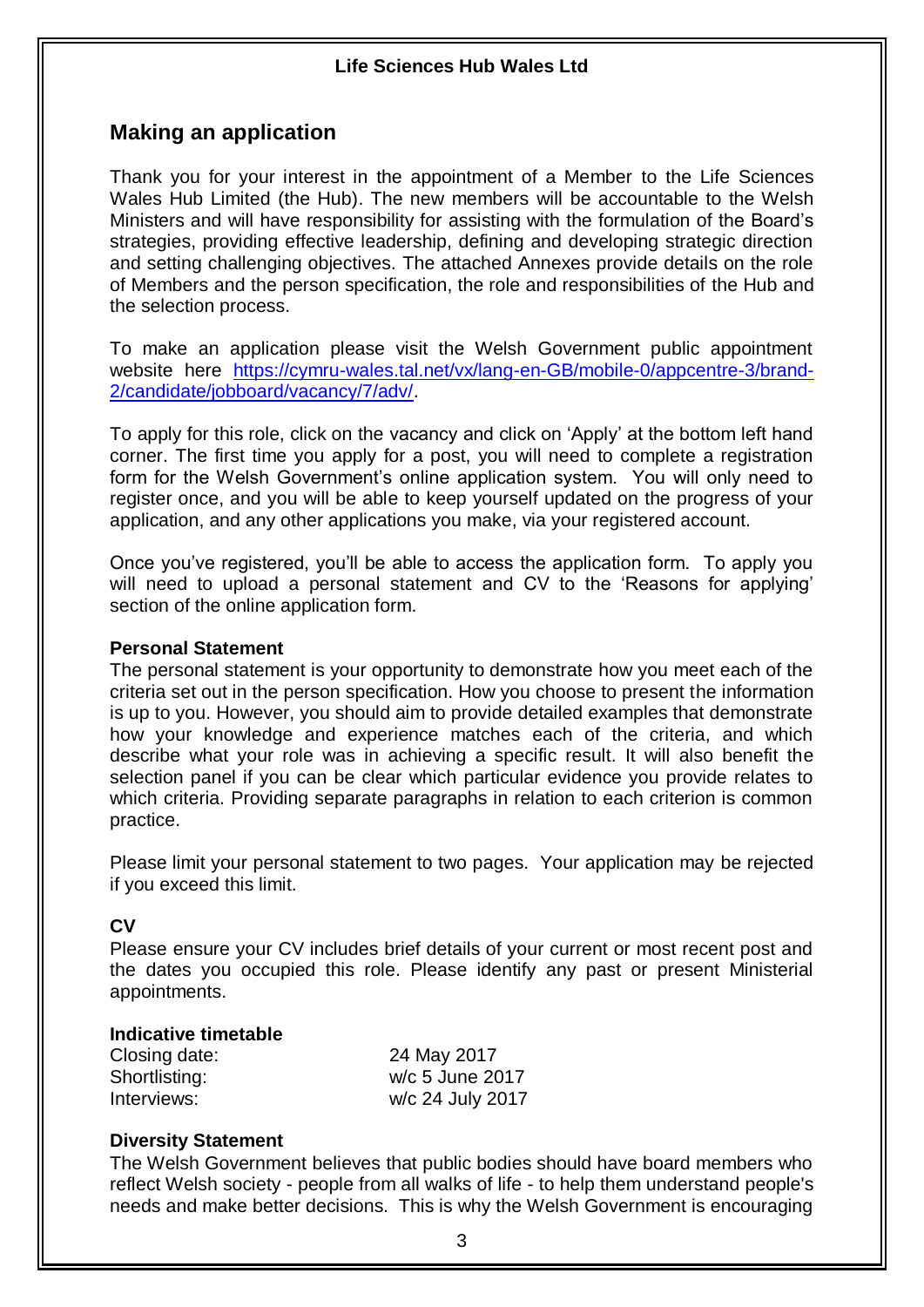## **Making an application**

Thank you for your interest in the appointment of a Member to the Life Sciences Wales Hub Limited (the Hub). The new members will be accountable to the Welsh Ministers and will have responsibility for assisting with the formulation of the Board's strategies, providing effective leadership, defining and developing strategic direction and setting challenging objectives. The attached Annexes provide details on the role of Members and the person specification, the role and responsibilities of the Hub and the selection process.

To make an application please visit the Welsh Government public appointment website here [https://cymru-wales.tal.net/vx/lang-en-GB/mobile-0/appcentre-3/brand-](https://cymru-wales.tal.net/vx/lang-en-GB/mobile-0/appcentre-3/brand-2/candidate/jobboard/vacancy/7/adv/)[2/candidate/jobboard/vacancy/7/adv/.](https://cymru-wales.tal.net/vx/lang-en-GB/mobile-0/appcentre-3/brand-2/candidate/jobboard/vacancy/7/adv/)

To apply for this role, click on the vacancy and click on 'Apply' at the bottom left hand corner. The first time you apply for a post, you will need to complete a registration form for the Welsh Government's online application system. You will only need to register once, and you will be able to keep yourself updated on the progress of your application, and any other applications you make, via your registered account.

Once you've registered, you'll be able to access the application form. To apply you will need to upload a personal statement and CV to the 'Reasons for applying' section of the online application form.

#### **Personal Statement**

The personal statement is your opportunity to demonstrate how you meet each of the criteria set out in the person specification. How you choose to present the information is up to you. However, you should aim to provide detailed examples that demonstrate how your knowledge and experience matches each of the criteria, and which describe what your role was in achieving a specific result. It will also benefit the selection panel if you can be clear which particular evidence you provide relates to which criteria. Providing separate paragraphs in relation to each criterion is common practice.

Please limit your personal statement to two pages. Your application may be rejected if you exceed this limit.

#### **CV**

Please ensure your CV includes brief details of your current or most recent post and the dates you occupied this role. Please identify any past or present Ministerial appointments.

#### **Indicative timetable**

| Closing date: | 24 May 2017      |
|---------------|------------------|
| Shortlisting: | w/c 5 June 2017  |
| Interviews:   | w/c 24 July 2017 |

#### **Diversity Statement**

The Welsh Government believes that public bodies should have board members who reflect Welsh society - people from all walks of life - to help them understand people's needs and make better decisions. This is why the Welsh Government is encouraging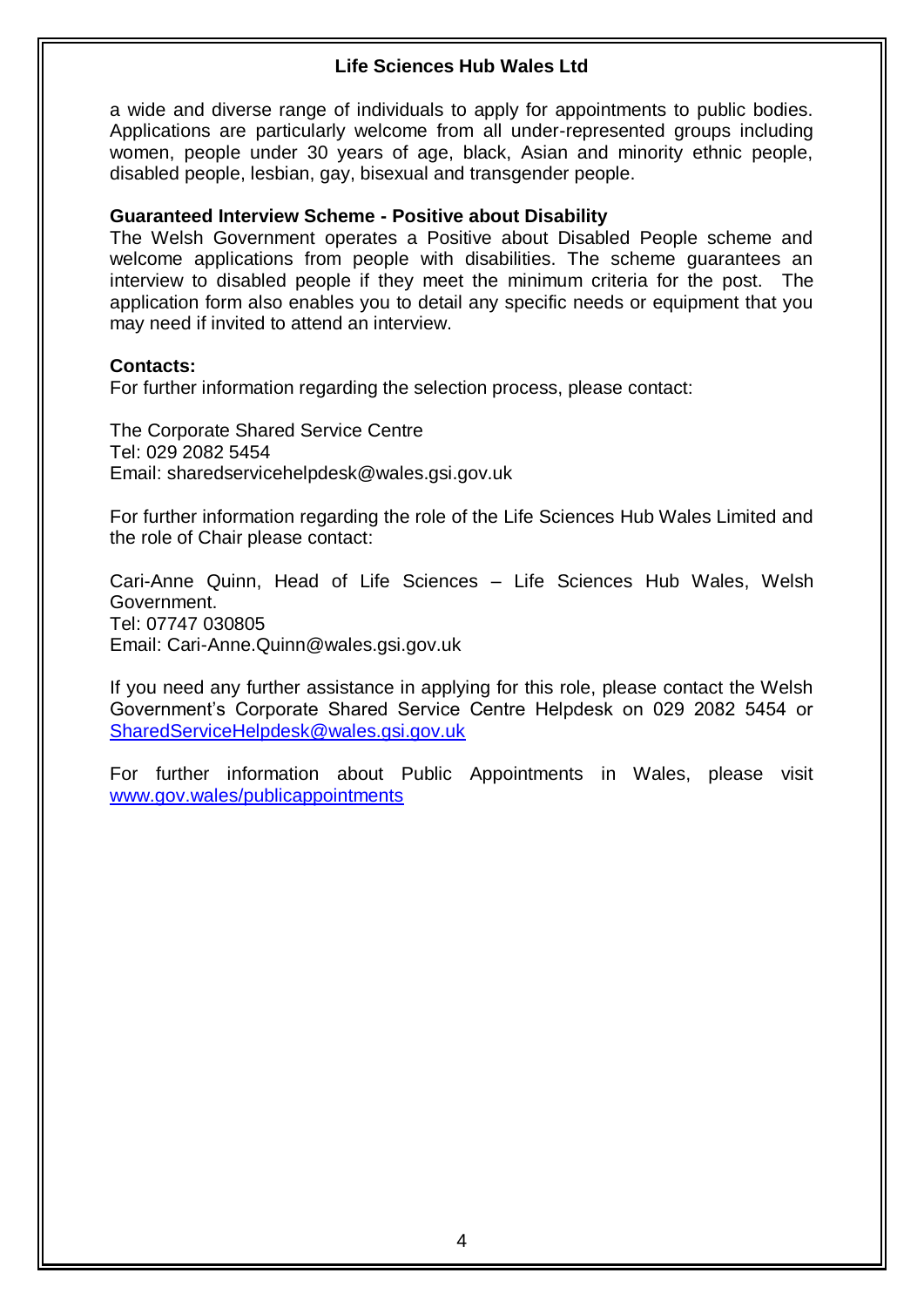a wide and diverse range of individuals to apply for appointments to public bodies. Applications are particularly welcome from all under-represented groups including women, people under 30 years of age, black, Asian and minority ethnic people, disabled people, lesbian, gay, bisexual and transgender people.

#### **Guaranteed Interview Scheme - Positive about Disability**

The Welsh Government operates a Positive about Disabled People scheme and welcome applications from people with disabilities. The scheme guarantees an interview to disabled people if they meet the minimum criteria for the post. The application form also enables you to detail any specific needs or equipment that you may need if invited to attend an interview.

#### **Contacts:**

For further information regarding the selection process, please contact:

The Corporate Shared Service Centre Tel: 029 2082 5454 Email: sharedservicehelpdesk@wales.gsi.gov.uk

For further information regarding the role of the Life Sciences Hub Wales Limited and the role of Chair please contact:

Cari-Anne Quinn, Head of Life Sciences – Life Sciences Hub Wales, Welsh Government. Tel: 07747 030805 Email: Cari-Anne.Quinn@wales.gsi.gov.uk

If you need any further assistance in applying for this role, please contact the Welsh Government's Corporate Shared Service Centre Helpdesk on 029 2082 5454 or [SharedServiceHelpdesk@wales.gsi.gov.uk](mailto:SharedServiceHelpdesk@wales.gsi.gov.uk) 

For further information about Public Appointments in Wales, please visit [www.gov.wales/publicappointments](http://www.gov.wales/publicappointments)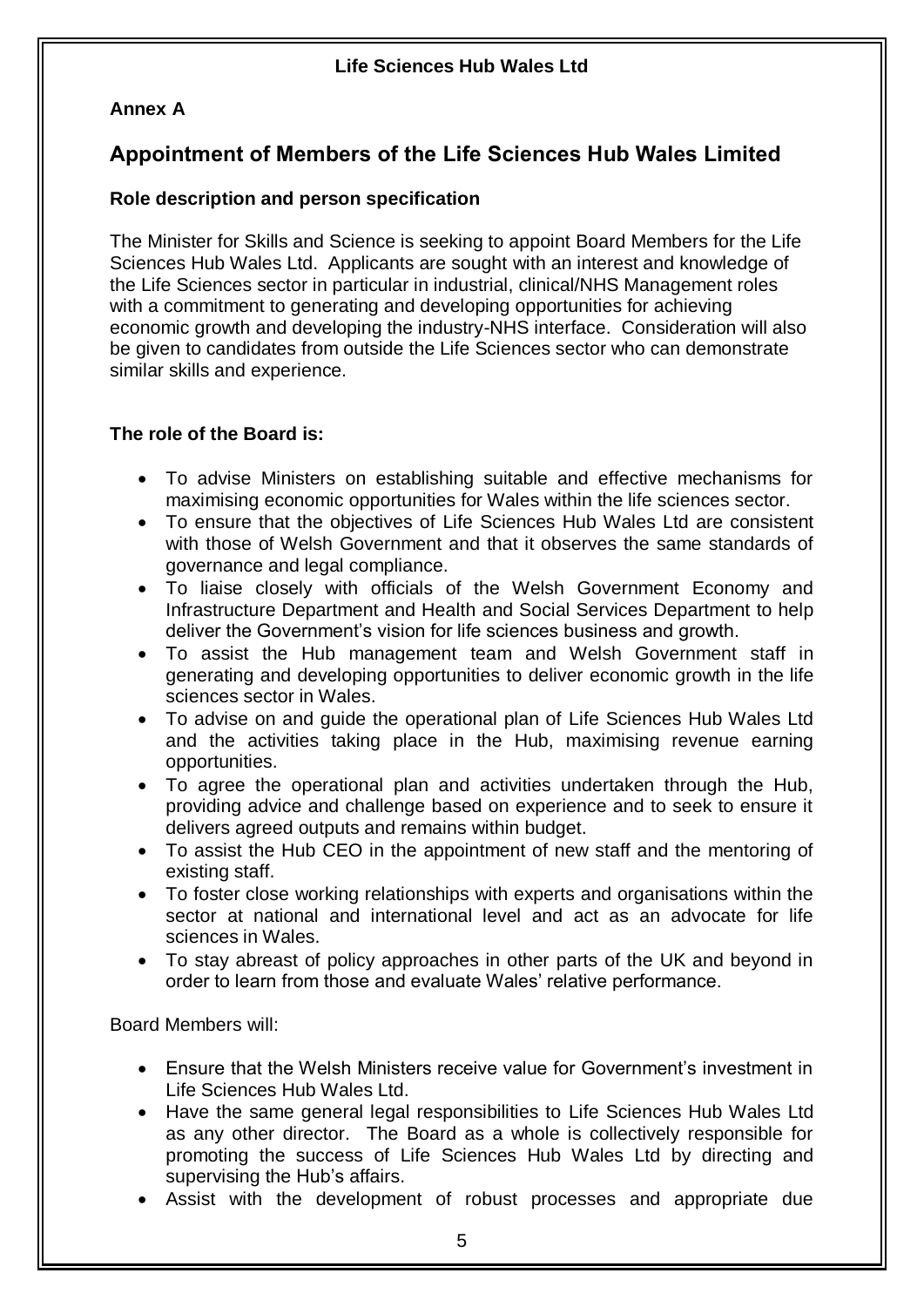# **Annex A**

# **Appointment of Members of the Life Sciences Hub Wales Limited**

## **Role description and person specification**

The Minister for Skills and Science is seeking to appoint Board Members for the Life Sciences Hub Wales Ltd. Applicants are sought with an interest and knowledge of the Life Sciences sector in particular in industrial, clinical/NHS Management roles with a commitment to generating and developing opportunities for achieving economic growth and developing the industry-NHS interface. Consideration will also be given to candidates from outside the Life Sciences sector who can demonstrate similar skills and experience.

## **The role of the Board is:**

- To advise Ministers on establishing suitable and effective mechanisms for maximising economic opportunities for Wales within the life sciences sector.
- To ensure that the objectives of Life Sciences Hub Wales Ltd are consistent with those of Welsh Government and that it observes the same standards of governance and legal compliance.
- To liaise closely with officials of the Welsh Government Economy and Infrastructure Department and Health and Social Services Department to help deliver the Government's vision for life sciences business and growth.
- To assist the Hub management team and Welsh Government staff in generating and developing opportunities to deliver economic growth in the life sciences sector in Wales.
- To advise on and guide the operational plan of Life Sciences Hub Wales Ltd and the activities taking place in the Hub, maximising revenue earning opportunities.
- To agree the operational plan and activities undertaken through the Hub, providing advice and challenge based on experience and to seek to ensure it delivers agreed outputs and remains within budget.
- To assist the Hub CEO in the appointment of new staff and the mentoring of existing staff.
- To foster close working relationships with experts and organisations within the sector at national and international level and act as an advocate for life sciences in Wales.
- To stay abreast of policy approaches in other parts of the UK and beyond in order to learn from those and evaluate Wales' relative performance.

Board Members will:

- Ensure that the Welsh Ministers receive value for Government's investment in Life Sciences Hub Wales Ltd.
- Have the same general legal responsibilities to Life Sciences Hub Wales Ltd as any other director. The Board as a whole is collectively responsible for promoting the success of Life Sciences Hub Wales Ltd by directing and supervising the Hub's affairs.
- Assist with the development of robust processes and appropriate due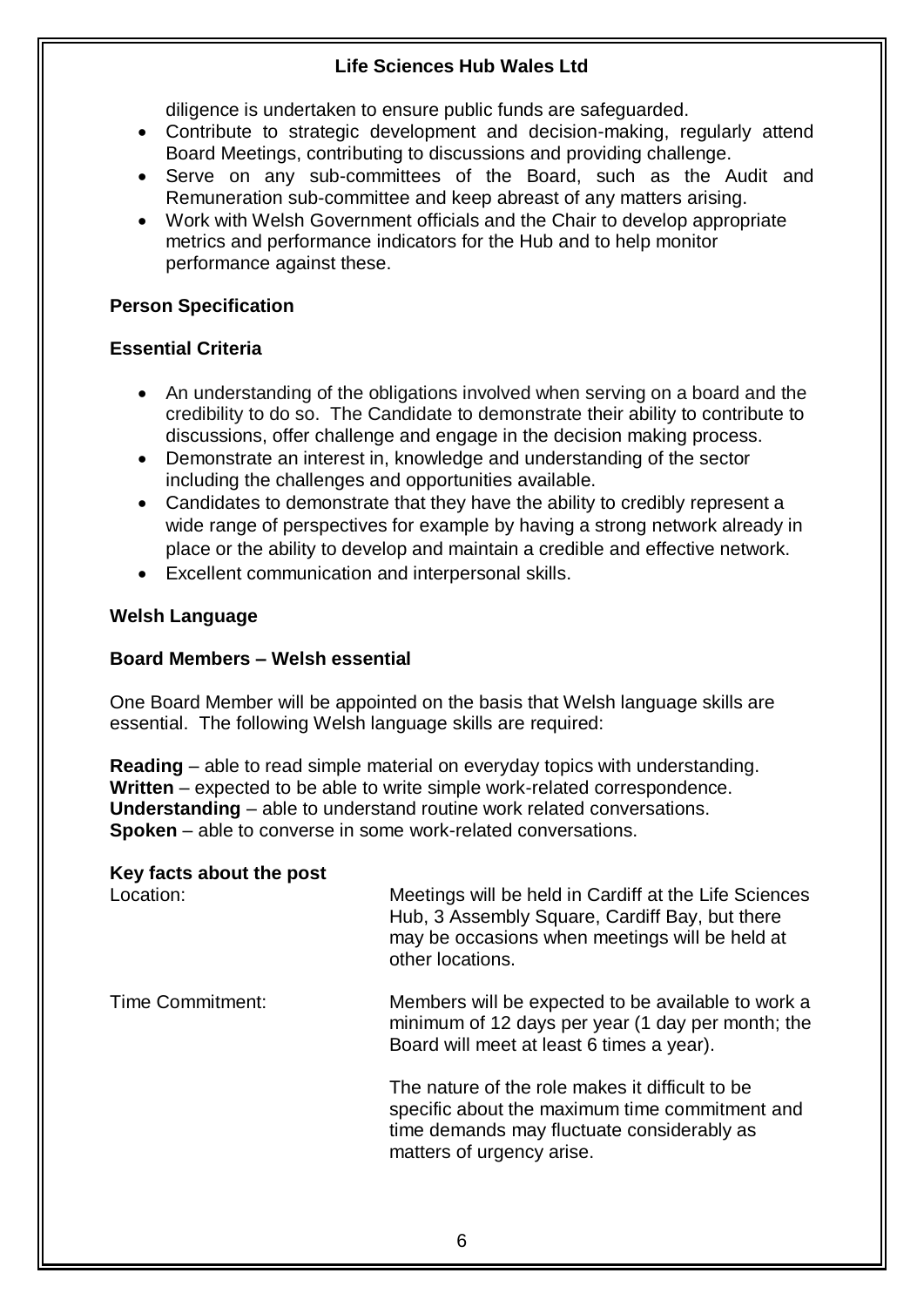diligence is undertaken to ensure public funds are safeguarded.

- Contribute to strategic development and decision-making, regularly attend Board Meetings, contributing to discussions and providing challenge.
- Serve on any sub-committees of the Board, such as the Audit and Remuneration sub-committee and keep abreast of any matters arising.
- Work with Welsh Government officials and the Chair to develop appropriate metrics and performance indicators for the Hub and to help monitor performance against these.

### **Person Specification**

## **Essential Criteria**

- An understanding of the obligations involved when serving on a board and the credibility to do so. The Candidate to demonstrate their ability to contribute to discussions, offer challenge and engage in the decision making process.
- Demonstrate an interest in, knowledge and understanding of the sector including the challenges and opportunities available.
- Candidates to demonstrate that they have the ability to credibly represent a wide range of perspectives for example by having a strong network already in place or the ability to develop and maintain a credible and effective network.
- Excellent communication and interpersonal skills.

## **Welsh Language**

### **Board Members – Welsh essential**

One Board Member will be appointed on the basis that Welsh language skills are essential. The following Welsh language skills are required:

**Reading** – able to read simple material on everyday topics with understanding. **Written** – expected to be able to write simple work-related correspondence. **Understanding** – able to understand routine work related conversations. **Spoken** – able to converse in some work-related conversations.

### **Key facts about the post**

Location: Meetings will be held in Cardiff at the Life Sciences Hub, 3 Assembly Square, Cardiff Bay, but there may be occasions when meetings will be held at other locations.

Time Commitment: Members will be expected to be available to work a minimum of 12 days per year (1 day per month; the Board will meet at least 6 times a year).

> The nature of the role makes it difficult to be specific about the maximum time commitment and time demands may fluctuate considerably as matters of urgency arise.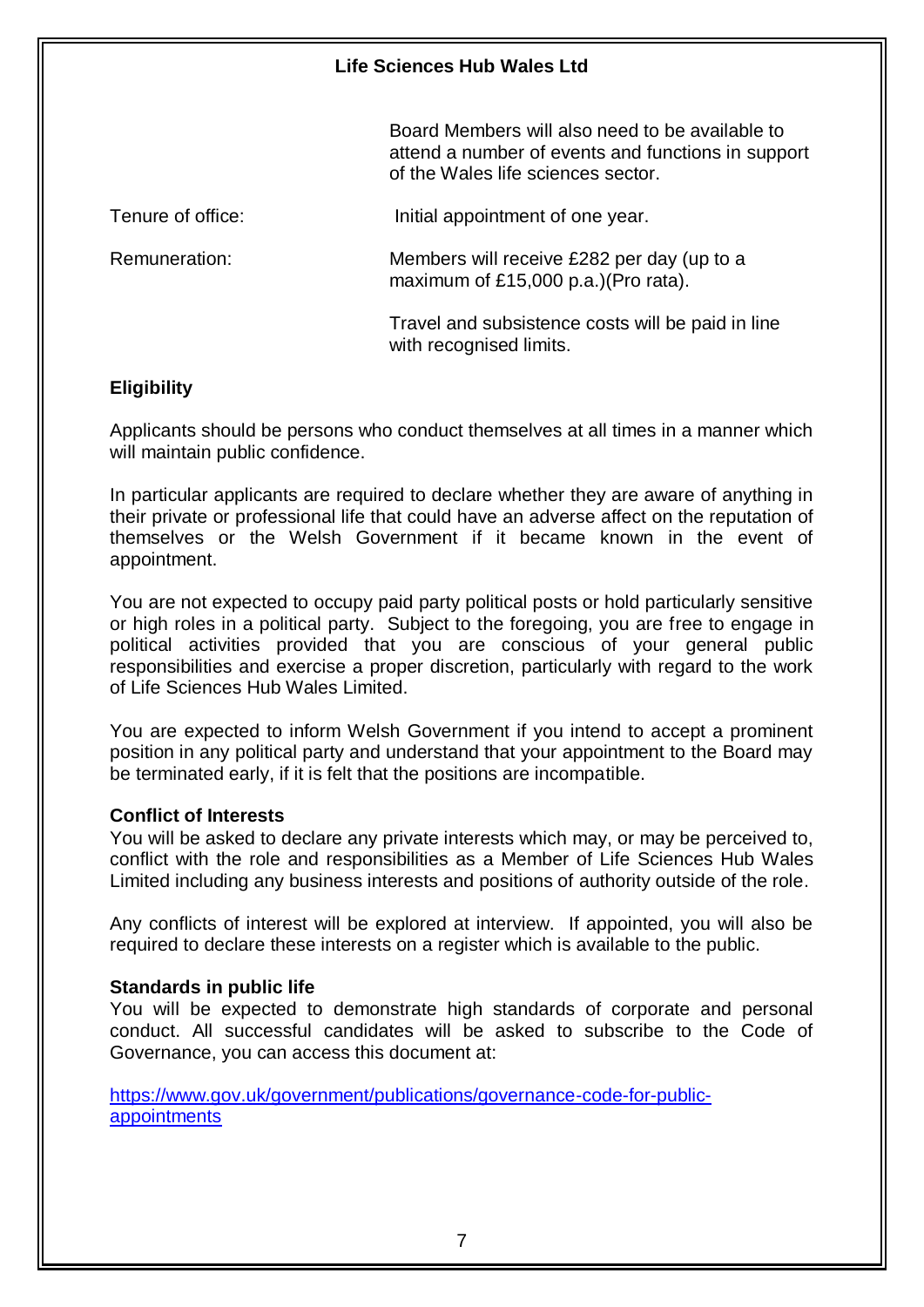Board Members will also need to be available to attend a number of events and functions in support of the Wales life sciences sector.

| Tenure of office: | Initial appointment of one year.                                                   |
|-------------------|------------------------------------------------------------------------------------|
| Remuneration:     | Members will receive £282 per day (up to a<br>maximum of £15,000 p.a.) (Pro rata). |
|                   | Travel and subsistence costs will be paid in line<br>with recognised limits.       |

#### **Eligibility**

Applicants should be persons who conduct themselves at all times in a manner which will maintain public confidence.

In particular applicants are required to declare whether they are aware of anything in their private or professional life that could have an adverse affect on the reputation of themselves or the Welsh Government if it became known in the event of appointment.

You are not expected to occupy paid party political posts or hold particularly sensitive or high roles in a political party. Subject to the foregoing, you are free to engage in political activities provided that you are conscious of your general public responsibilities and exercise a proper discretion, particularly with regard to the work of Life Sciences Hub Wales Limited.

You are expected to inform Welsh Government if you intend to accept a prominent position in any political party and understand that your appointment to the Board may be terminated early, if it is felt that the positions are incompatible.

#### **Conflict of Interests**

You will be asked to declare any private interests which may, or may be perceived to, conflict with the role and responsibilities as a Member of Life Sciences Hub Wales Limited including any business interests and positions of authority outside of the role.

Any conflicts of interest will be explored at interview. If appointed, you will also be required to declare these interests on a register which is available to the public.

#### **Standards in public life**

You will be expected to demonstrate high standards of corporate and personal conduct. All successful candidates will be asked to subscribe to the Code of Governance, you can access this document at:

[https://www.gov.uk/government/publications/governance-code-for-public](https://www.gov.uk/government/publications/governance-code-for-public-appointments)[appointments](https://www.gov.uk/government/publications/governance-code-for-public-appointments)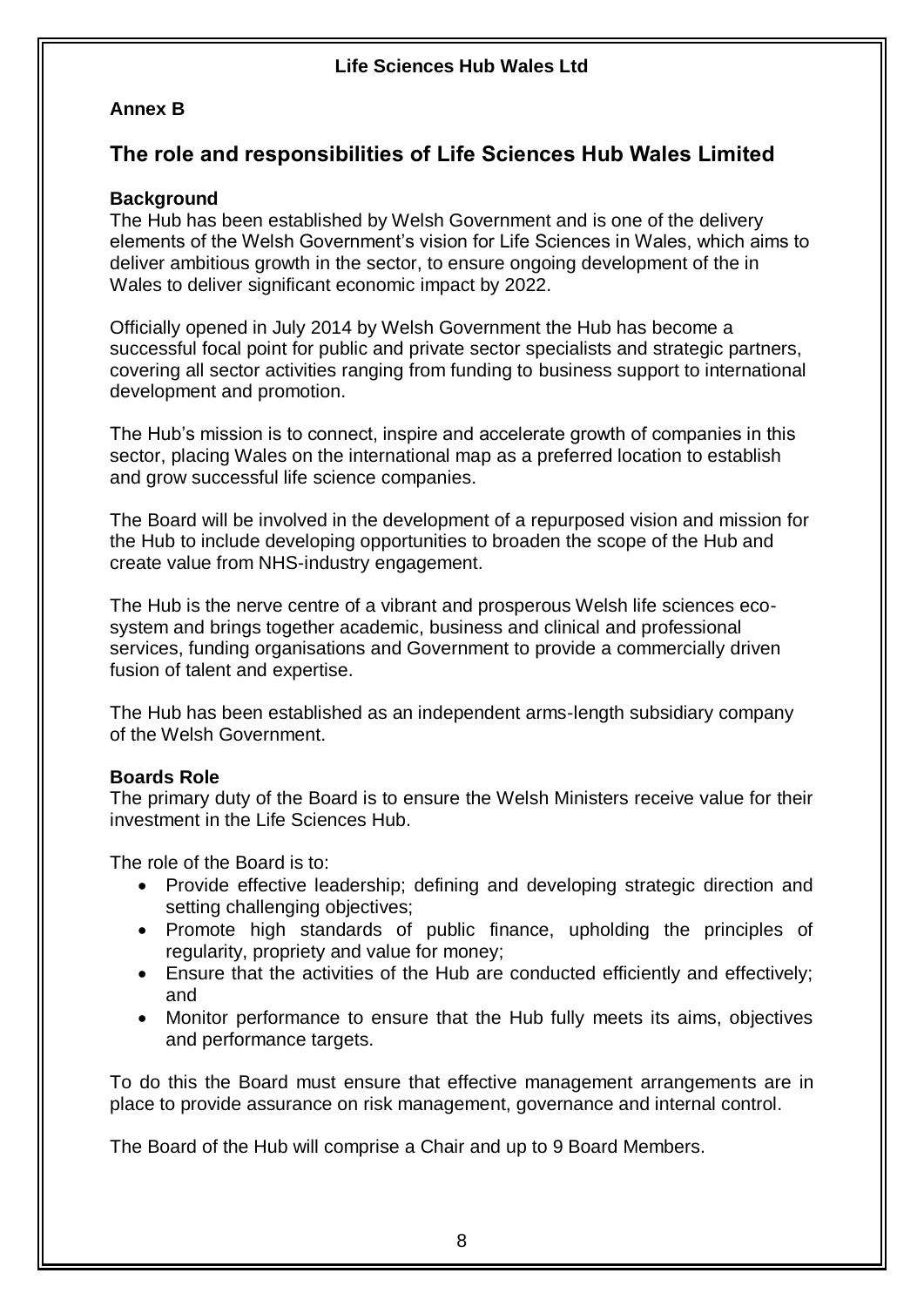## **Annex B**

# **The role and responsibilities of Life Sciences Hub Wales Limited**

## **Background**

The Hub has been established by Welsh Government and is one of the delivery elements of the Welsh Government's vision for Life Sciences in Wales, which aims to deliver ambitious growth in the sector, to ensure ongoing development of the in Wales to deliver significant economic impact by 2022.

Officially opened in July 2014 by Welsh Government the Hub has become a successful focal point for public and private sector specialists and strategic partners, covering all sector activities ranging from funding to business support to international development and promotion.

The Hub's mission is to connect, inspire and accelerate growth of companies in this sector, placing Wales on the international map as a preferred location to establish and grow successful life science companies.

The Board will be involved in the development of a repurposed vision and mission for the Hub to include developing opportunities to broaden the scope of the Hub and create value from NHS-industry engagement.

The Hub is the nerve centre of a vibrant and prosperous Welsh life sciences ecosystem and brings together academic, business and clinical and professional services, funding organisations and Government to provide a commercially driven fusion of talent and expertise.

The Hub has been established as an independent arms-length subsidiary company of the Welsh Government.

## **Boards Role**

The primary duty of the Board is to ensure the Welsh Ministers receive value for their investment in the Life Sciences Hub.

The role of the Board is to:

- Provide effective leadership; defining and developing strategic direction and setting challenging objectives;
- Promote high standards of public finance, upholding the principles of regularity, propriety and value for money;
- Ensure that the activities of the Hub are conducted efficiently and effectively; and
- Monitor performance to ensure that the Hub fully meets its aims, objectives and performance targets.

To do this the Board must ensure that effective management arrangements are in place to provide assurance on risk management, governance and internal control.

The Board of the Hub will comprise a Chair and up to 9 Board Members.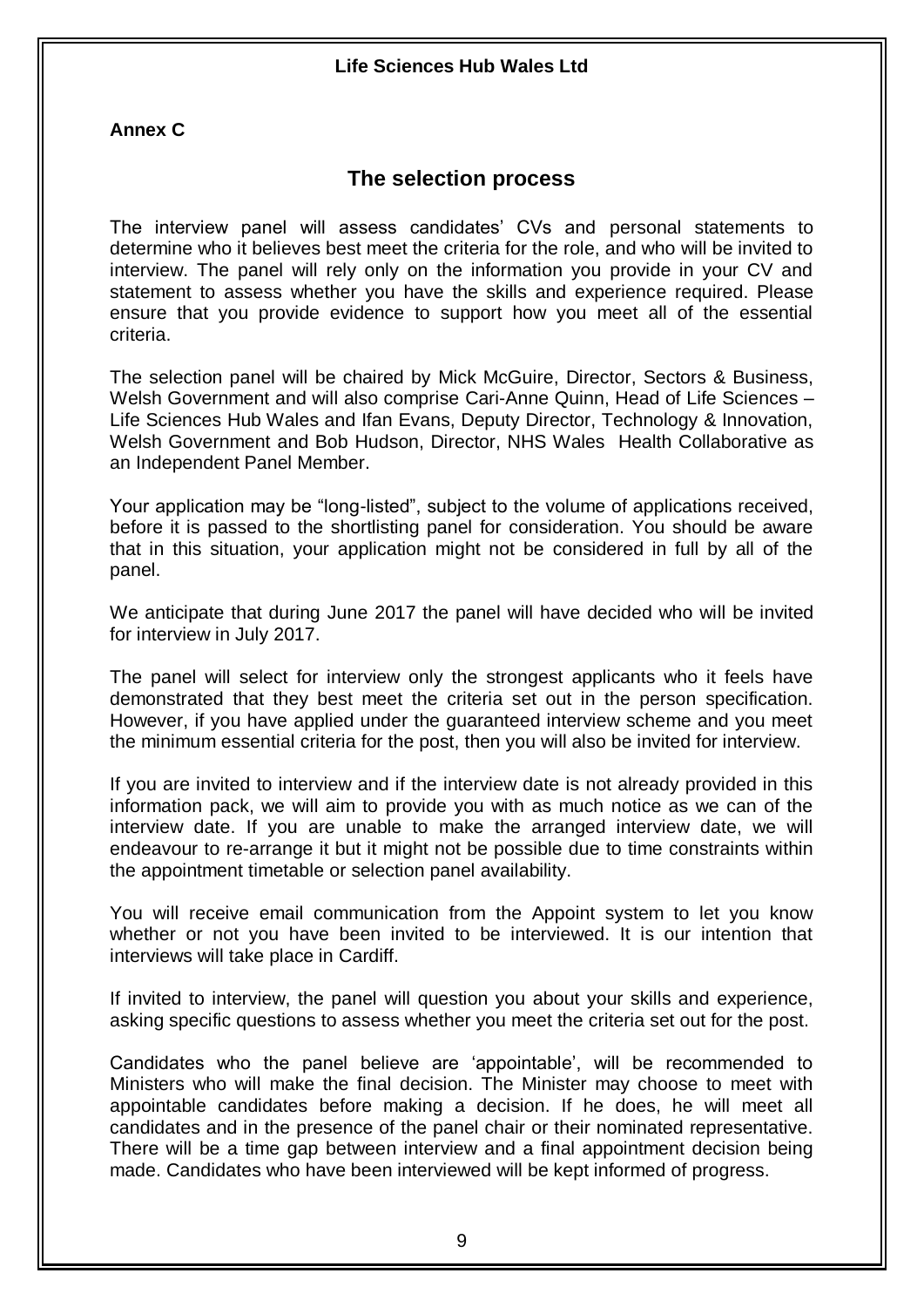### **Annex C**

## **The selection process**

The interview panel will assess candidates' CVs and personal statements to determine who it believes best meet the criteria for the role, and who will be invited to interview. The panel will rely only on the information you provide in your CV and statement to assess whether you have the skills and experience required. Please ensure that you provide evidence to support how you meet all of the essential criteria.

The selection panel will be chaired by Mick McGuire, Director, Sectors & Business, Welsh Government and will also comprise Cari-Anne Quinn, Head of Life Sciences – Life Sciences Hub Wales and Ifan Evans, Deputy Director, Technology & Innovation, Welsh Government and Bob Hudson, Director, NHS Wales Health Collaborative as an Independent Panel Member.

Your application may be "long-listed", subject to the volume of applications received, before it is passed to the shortlisting panel for consideration. You should be aware that in this situation, your application might not be considered in full by all of the panel.

We anticipate that during June 2017 the panel will have decided who will be invited for interview in July 2017.

The panel will select for interview only the strongest applicants who it feels have demonstrated that they best meet the criteria set out in the person specification. However, if you have applied under the guaranteed interview scheme and you meet the minimum essential criteria for the post, then you will also be invited for interview.

If you are invited to interview and if the interview date is not already provided in this information pack, we will aim to provide you with as much notice as we can of the interview date. If you are unable to make the arranged interview date, we will endeavour to re-arrange it but it might not be possible due to time constraints within the appointment timetable or selection panel availability.

You will receive email communication from the Appoint system to let you know whether or not you have been invited to be interviewed. It is our intention that interviews will take place in Cardiff.

If invited to interview, the panel will question you about your skills and experience, asking specific questions to assess whether you meet the criteria set out for the post.

Candidates who the panel believe are 'appointable', will be recommended to Ministers who will make the final decision. The Minister may choose to meet with appointable candidates before making a decision. If he does, he will meet all candidates and in the presence of the panel chair or their nominated representative. There will be a time gap between interview and a final appointment decision being made. Candidates who have been interviewed will be kept informed of progress.